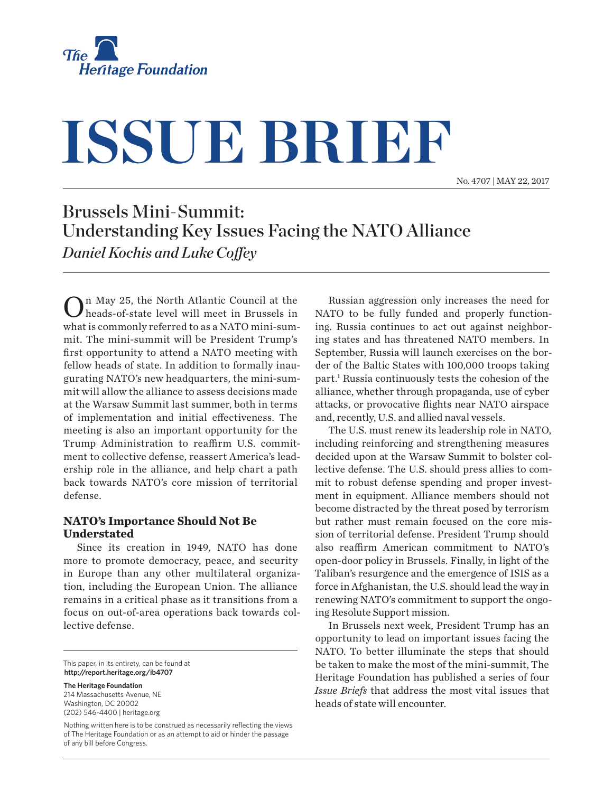

# **ISSUE BRIEF**

No. 4707 | May 22, 2017

# Brussels Mini-Summit: Understanding Key Issues Facing the NATO Alliance *Daniel Kochis and Luke Coffey*

In May 25, the North Atlantic Council at the heads-of-state level will meet in Brussels in what is commonly referred to as a NATO mini-summit. The mini-summit will be President Trump's first opportunity to attend a NATO meeting with fellow heads of state. In addition to formally inaugurating NATO's new headquarters, the mini-summit will allow the alliance to assess decisions made at the Warsaw Summit last summer, both in terms of implementation and initial effectiveness. The meeting is also an important opportunity for the Trump Administration to reaffirm U.S. commitment to collective defense, reassert America's leadership role in the alliance, and help chart a path back towards NATO's core mission of territorial defense.

#### **NATO's Importance Should Not Be Understated**

Since its creation in 1949, NATO has done more to promote democracy, peace, and security in Europe than any other multilateral organization, including the European Union. The alliance remains in a critical phase as it transitions from a focus on out-of-area operations back towards collective defense.

This paper, in its entirety, can be found at **http://report.heritage.org/ib4707**

**The Heritage Foundation** 214 Massachusetts Avenue, NE Washington, DC 20002 (202) 546-4400 | heritage.org

Nothing written here is to be construed as necessarily reflecting the views of The Heritage Foundation or as an attempt to aid or hinder the passage of any bill before Congress.

Russian aggression only increases the need for NATO to be fully funded and properly functioning. Russia continues to act out against neighboring states and has threatened NATO members. In September, Russia will launch exercises on the border of the Baltic States with 100,000 troops taking part.1 Russia continuously tests the cohesion of the alliance, whether through propaganda, use of cyber attacks, or provocative flights near NATO airspace and, recently, U.S. and allied naval vessels.

The U.S. must renew its leadership role in NATO, including reinforcing and strengthening measures decided upon at the Warsaw Summit to bolster collective defense. The U.S. should press allies to commit to robust defense spending and proper investment in equipment. Alliance members should not become distracted by the threat posed by terrorism but rather must remain focused on the core mission of territorial defense. President Trump should also reaffirm American commitment to NATO's open-door policy in Brussels. Finally, in light of the Taliban's resurgence and the emergence of ISIS as a force in Afghanistan, the U.S. should lead the way in renewing NATO's commitment to support the ongoing Resolute Support mission.

In Brussels next week, President Trump has an opportunity to lead on important issues facing the NATO. To better illuminate the steps that should be taken to make the most of the mini-summit, The Heritage Foundation has published a series of four *Issue Briefs* that address the most vital issues that heads of state will encounter.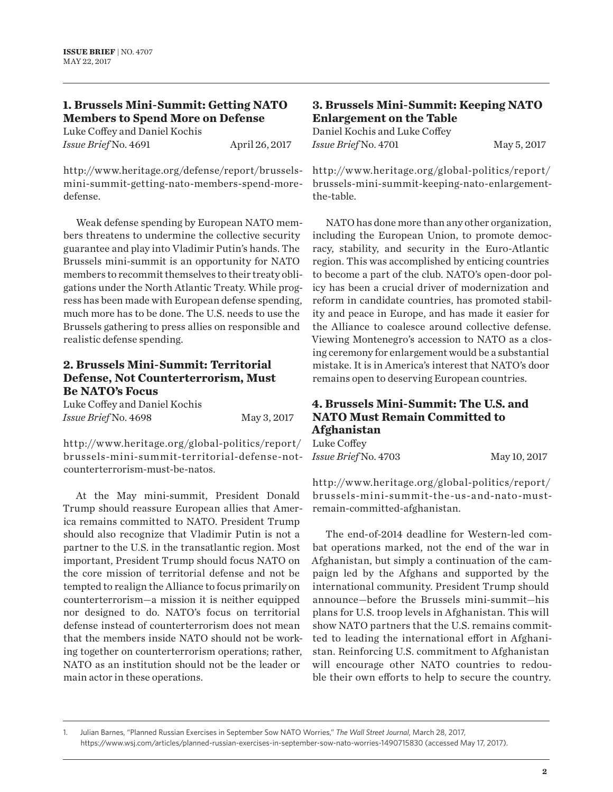# **1. Brussels Mini-Summit: Getting NATO Members to Spend More on Defense**

Luke Coffey and Daniel Kochis *Issue Brief* No. 4691 **April 26, 2017** 

http://www.heritage.org/defense/report/brusselsmini-summit-getting-nato-members-spend-moredefense.

Weak defense spending by European NATO members threatens to undermine the collective security guarantee and play into Vladimir Putin's hands. The Brussels mini-summit is an opportunity for NATO members to recommit themselves to their treaty obligations under the North Atlantic Treaty. While progress has been made with European defense spending, much more has to be done. The U.S. needs to use the Brussels gathering to press allies on responsible and realistic defense spending.

#### **2. Brussels Mini-Summit: Territorial Defense, Not Counterterrorism, Must Be NATO's Focus**

Luke Coffey and Daniel Kochis *Issue Brief* No. 4698 May 3, 2017

http://w w w.heritage.org/global-politics/report/ brussels-mini-summit-territorial-defense-notcounterterrorism-must-be-natos.

At the May mini-summit, President Donald Trump should reassure European allies that America remains committed to NATO. President Trump should also recognize that Vladimir Putin is not a partner to the U.S. in the transatlantic region. Most important, President Trump should focus NATO on the core mission of territorial defense and not be tempted to realign the Alliance to focus primarily on counterterrorism—a mission it is neither equipped nor designed to do. NATO's focus on territorial defense instead of counterterrorism does not mean that the members inside NATO should not be working together on counterterrorism operations; rather, NATO as an institution should not be the leader or main actor in these operations.

#### **3. Brussels Mini-Summit: Keeping NATO Enlargement on the Table**

Daniel Kochis and Luke Coffey *Issue Brief* No. 4701 May 5, 2017

http://w w w.heritage.org/global-politics/report/ brussels-mini-summit-keeping-nato-enlargementthe-table.

NATO has done more than any other organization, including the European Union, to promote democracy, stability, and security in the Euro-Atlantic region. This was accomplished by enticing countries to become a part of the club. NATO's open-door policy has been a crucial driver of modernization and reform in candidate countries, has promoted stability and peace in Europe, and has made it easier for the Alliance to coalesce around collective defense. Viewing Montenegro's accession to NATO as a closing ceremony for enlargement would be a substantial mistake. It is in America's interest that NATO's door remains open to deserving European countries.

## **4. Brussels Mini-Summit: The U.S. and NATO Must Remain Committed to Afghanistan**

| Luke Coffey          |              |
|----------------------|--------------|
| Issue Brief No. 4703 | May 10, 2017 |

http://w w w.heritage.org/global-politics/report/ brussels-mini-summit-the-us-and-nato-mustremain-committed-afghanistan.

The end-of-2014 deadline for Western-led combat operations marked, not the end of the war in Afghanistan, but simply a continuation of the campaign led by the Afghans and supported by the international community. President Trump should announce—before the Brussels mini-summit—his plans for U.S. troop levels in Afghanistan. This will show NATO partners that the U.S. remains committed to leading the international effort in Afghanistan. Reinforcing U.S. commitment to Afghanistan will encourage other NATO countries to redouble their own efforts to help to secure the country.

1. Julian Barnes, "Planned Russian Exercises in September Sow NATO Worries," *The Wall Street Journal*, March 28, 2017, https://www.wsj.com/articles/planned-russian-exercises-in-september-sow-nato-worries-1490715830 (accessed May 17, 2017).